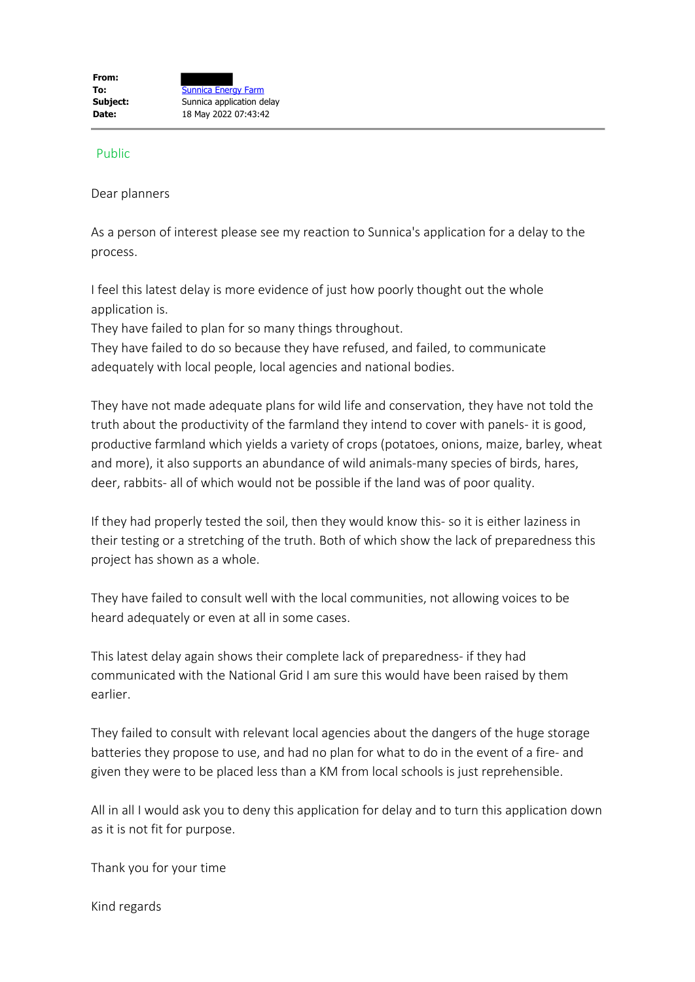## Public

Dear planners

As a person of interest please see my reaction to Sunnica's application for a delay to the process.

I feel this latest delay is more evidence of just how poorly thought out the whole application is.

They have failed to plan for so many things throughout.

They have failed to do so because they have refused, and failed, to communicate adequately with local people, local agencies and national bodies.

They have not made adequate plans for wild life and conservation, they have not told the truth about the productivity of the farmland they intend to cover with panels- it is good, productive farmland which yields a variety of crops (potatoes, onions, maize, barley, wheat and more), it also supports an abundance of wild animals-many species of birds, hares, deer, rabbits- all of which would not be possible if the land was of poor quality.

If they had properly tested the soil, then they would know this- so it is either laziness in their testing or a stretching of the truth. Both of which show the lack of preparedness this project has shown as a whole.

They have failed to consult well with the local communities, not allowing voices to be heard adequately or even at all in some cases.

This latest delay again shows their complete lack of preparedness- if they had communicated with the National Grid I am sure this would have been raised by them earlier.

They failed to consult with relevant local agencies about the dangers of the huge storage batteries they propose to use, and had no plan for what to do in the event of a fire- and given they were to be placed less than a KM from local schools is just reprehensible.

All in all I would ask you to deny this application for delay and to turn this application down as it is not fit for purpose.

Thank you for your time

Kind regards